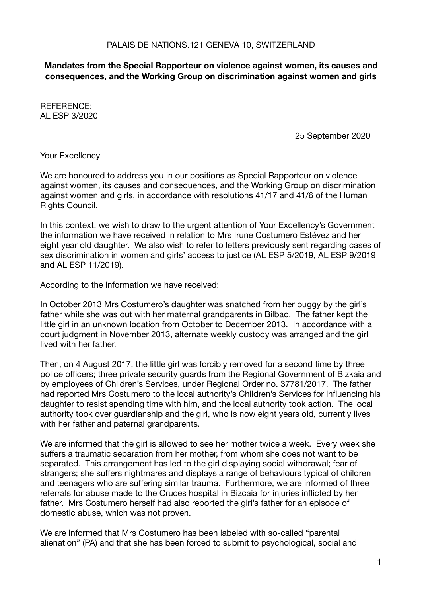## **Mandates from the Special Rapporteur on violence against women, its causes and consequences, and the Working Group on discrimination against women and girls**

REFERENCE: AL ESP 3/2020

 25 September 2020

Your Excellency

We are honoured to address you in our positions as Special Rapporteur on violence against women, its causes and consequences, and the Working Group on discrimination against women and girls, in accordance with resolutions 41/17 and 41/6 of the Human Rights Council.

In this context, we wish to draw to the urgent attention of Your Excellency's Government the information we have received in relation to Mrs Irune Costumero Estévez and her eight year old daughter. We also wish to refer to letters previously sent regarding cases of sex discrimination in women and girls' access to justice (AL ESP 5/2019, AL ESP 9/2019 and AL ESP 11/2019).

According to the information we have received:

In October 2013 Mrs Costumero's daughter was snatched from her buggy by the girl's father while she was out with her maternal grandparents in Bilbao. The father kept the little girl in an unknown location from October to December 2013. In accordance with a court judgment in November 2013, alternate weekly custody was arranged and the girl lived with her father.

Then, on 4 August 2017, the little girl was forcibly removed for a second time by three police officers; three private security guards from the Regional Government of Bizkaia and by employees of Children's Services, under Regional Order no. 37781/2017. The father had reported Mrs Costumero to the local authority's Children's Services for influencing his daughter to resist spending time with him, and the local authority took action. The local authority took over guardianship and the girl, who is now eight years old, currently lives with her father and paternal grandparents.

We are informed that the girl is allowed to see her mother twice a week. Every week she suffers a traumatic separation from her mother, from whom she does not want to be separated. This arrangement has led to the girl displaying social withdrawal; fear of strangers; she suffers nightmares and displays a range of behaviours typical of children and teenagers who are suffering similar trauma. Furthermore, we are informed of three referrals for abuse made to the Cruces hospital in Bizcaia for injuries inflicted by her father. Mrs Costumero herself had also reported the girl's father for an episode of domestic abuse, which was not proven.

We are informed that Mrs Costumero has been labeled with so-called "parental alienation" (PA) and that she has been forced to submit to psychological, social and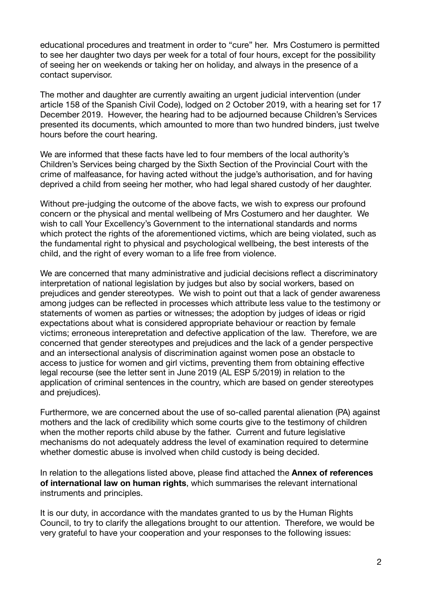educational procedures and treatment in order to "cure" her. Mrs Costumero is permitted to see her daughter two days per week for a total of four hours, except for the possibility of seeing her on weekends or taking her on holiday, and always in the presence of a contact supervisor.

The mother and daughter are currently awaiting an urgent judicial intervention (under article 158 of the Spanish Civil Code), lodged on 2 October 2019, with a hearing set for 17 December 2019. However, the hearing had to be adjourned because Children's Services presented its documents, which amounted to more than two hundred binders, just twelve hours before the court hearing.

We are informed that these facts have led to four members of the local authority's Children's Services being charged by the Sixth Section of the Provincial Court with the crime of malfeasance, for having acted without the judge's authorisation, and for having deprived a child from seeing her mother, who had legal shared custody of her daughter.

Without pre-judging the outcome of the above facts, we wish to express our profound concern or the physical and mental wellbeing of Mrs Costumero and her daughter. We wish to call Your Excellency's Government to the international standards and norms which protect the rights of the aforementioned victims, which are being violated, such as the fundamental right to physical and psychological wellbeing, the best interests of the child, and the right of every woman to a life free from violence.

We are concerned that many administrative and judicial decisions reflect a discriminatory interpretation of national legislation by judges but also by social workers, based on prejudices and gender stereotypes. We wish to point out that a lack of gender awareness among judges can be reflected in processes which attribute less value to the testimony or statements of women as parties or witnesses; the adoption by judges of ideas or rigid expectations about what is considered appropriate behaviour or reaction by female victims; erroneous interepretation and defective application of the law. Therefore, we are concerned that gender stereotypes and prejudices and the lack of a gender perspective and an intersectional analysis of discrimination against women pose an obstacle to access to justice for women and girl victims, preventing them from obtaining effective legal recourse (see the letter sent in June 2019 (AL ESP 5/2019) in relation to the application of criminal sentences in the country, which are based on gender stereotypes and prejudices).

Furthermore, we are concerned about the use of so-called parental alienation (PA) against mothers and the lack of credibility which some courts give to the testimony of children when the mother reports child abuse by the father. Current and future legislative mechanisms do not adequately address the level of examination required to determine whether domestic abuse is involved when child custody is being decided.

In relation to the allegations listed above, please find attached the **Annex of references of international law on human rights**, which summarises the relevant international instruments and principles.

It is our duty, in accordance with the mandates granted to us by the Human Rights Council, to try to clarify the allegations brought to our attention. Therefore, we would be very grateful to have your cooperation and your responses to the following issues: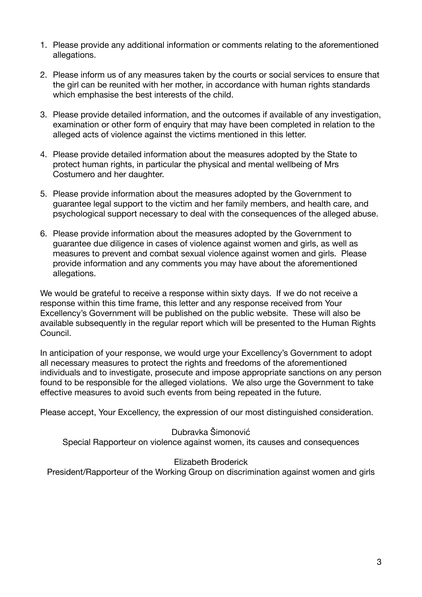- 1. Please provide any additional information or comments relating to the aforementioned allegations.
- 2. Please inform us of any measures taken by the courts or social services to ensure that the girl can be reunited with her mother, in accordance with human rights standards which emphasise the best interests of the child.
- 3. Please provide detailed information, and the outcomes if available of any investigation, examination or other form of enquiry that may have been completed in relation to the alleged acts of violence against the victims mentioned in this letter.
- 4. Please provide detailed information about the measures adopted by the State to protect human rights, in particular the physical and mental wellbeing of Mrs Costumero and her daughter.
- 5. Please provide information about the measures adopted by the Government to guarantee legal support to the victim and her family members, and health care, and psychological support necessary to deal with the consequences of the alleged abuse.
- 6. Please provide information about the measures adopted by the Government to guarantee due diligence in cases of violence against women and girls, as well as measures to prevent and combat sexual violence against women and girls. Please provide information and any comments you may have about the aforementioned allegations.

We would be grateful to receive a response within sixty days. If we do not receive a response within this time frame, this letter and any response received from Your Excellency's Government will be published on the public website. These will also be available subsequently in the regular report which will be presented to the Human Rights Council.

In anticipation of your response, we would urge your Excellency's Government to adopt all necessary measures to protect the rights and freedoms of the aforementioned individuals and to investigate, prosecute and impose appropriate sanctions on any person found to be responsible for the alleged violations. We also urge the Government to take effective measures to avoid such events from being repeated in the future.

Please accept, Your Excellency, the expression of our most distinguished consideration.

## Dubravka Šimonović

Special Rapporteur on violence against women, its causes and consequences

## Elizabeth Broderick

President/Rapporteur of the Working Group on discrimination against women and girls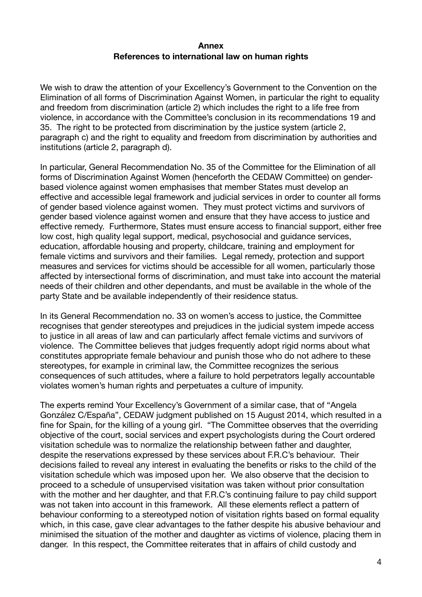## **Annex References to international law on human rights**

We wish to draw the attention of your Excellency's Government to the Convention on the Elimination of all forms of Discrimination Against Women, in particular the right to equality and freedom from discrimination (article 2) which includes the right to a life free from violence, in accordance with the Committee's conclusion in its recommendations 19 and 35. The right to be protected from discrimination by the justice system (article 2, paragraph c) and the right to equality and freedom from discrimination by authorities and institutions (article 2, paragraph d).

In particular, General Recommendation No. 35 of the Committee for the Elimination of all forms of Discrimination Against Women (henceforth the CEDAW Committee) on genderbased violence against women emphasises that member States must develop an effective and accessible legal framework and judicial services in order to counter all forms of gender based violence against women. They must protect victims and survivors of gender based violence against women and ensure that they have access to justice and effective remedy. Furthermore, States must ensure access to financial support, either free low cost, high quality legal support, medical, psychosocial and guidance services, education, affordable housing and property, childcare, training and employment for female victims and survivors and their families. Legal remedy, protection and support measures and services for victims should be accessible for all women, particularly those affected by intersectional forms of discrimination, and must take into account the material needs of their children and other dependants, and must be available in the whole of the party State and be available independently of their residence status.

In its General Recommendation no. 33 on women's access to justice, the Committee recognises that gender stereotypes and prejudices in the judicial system impede access to justice in all areas of law and can particularly affect female victims and survivors of violence. The Committee believes that judges frequently adopt rigid norms about what constitutes appropriate female behaviour and punish those who do not adhere to these stereotypes, for example in criminal law, the Committee recognizes the serious consequences of such attitudes, where a failure to hold perpetrators legally accountable violates women's human rights and perpetuates a culture of impunity.

The experts remind Your Excellency's Government of a similar case, that of "Angela González C/España", CEDAW judgment published on 15 August 2014, which resulted in a fine for Spain, for the killing of a young girl. "The Committee observes that the overriding objective of the court, social services and expert psychologists during the Court ordered visitation schedule was to normalize the relationship between father and daughter, despite the reservations expressed by these services about F.R.C's behaviour. Their decisions failed to reveal any interest in evaluating the benefits or risks to the child of the visitation schedule which was imposed upon her. We also observe that the decision to proceed to a schedule of unsupervised visitation was taken without prior consultation with the mother and her daughter, and that F.R.C's continuing failure to pay child support was not taken into account in this framework. All these elements reflect a pattern of behaviour conforming to a stereotyped notion of visitation rights based on formal equality which, in this case, gave clear advantages to the father despite his abusive behaviour and minimised the situation of the mother and daughter as victims of violence, placing them in danger. In this respect, the Committee reiterates that in affairs of child custody and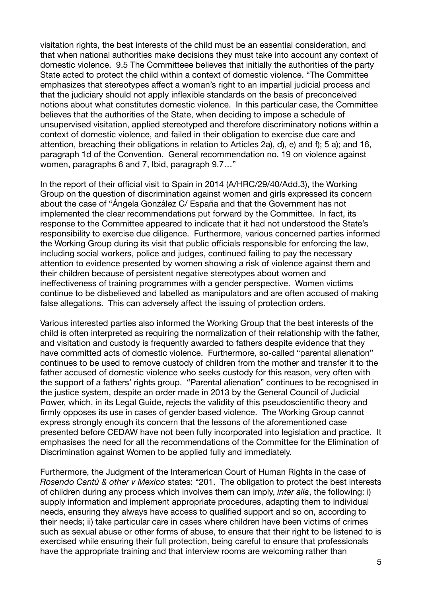visitation rights, the best interests of the child must be an essential consideration, and that when national authorities make decisions they must take into account any context of domestic violence. 9.5 The Committeee believes that initially the authorities of the party State acted to protect the child within a context of domestic violence. "The Committee emphasizes that stereotypes affect a woman's right to an impartial judicial process and that the judiciary should not apply inflexible standards on the basis of preconceived notions about what constitutes domestic violence. In this particular case, the Committee believes that the authorities of the State, when deciding to impose a schedule of unsupervised visitation, applied stereotyped and therefore discriminatory notions within a context of domestic violence, and failed in their obligation to exercise due care and attention, breaching their obligations in relation to Articles 2a), d), e) and f); 5 a); and 16, paragraph 1d of the Convention. General recommendation no. 19 on violence against women, paragraphs 6 and 7, Ibid, paragraph 9.7…"

In the report of their official visit to Spain in 2014 (A/HRC/29/40/Add.3), the Working Group on the question of discrimination against women and girls expressed its concern about the case of "Ángela González C/ España and that the Government has not implemented the clear recommendations put forward by the Committee. In fact, its response to the Committee appeared to indicate that it had not understood the State's responsibility to exercise due diligence. Furthermore, various concerned parties informed the Working Group during its visit that public officials responsible for enforcing the law, including social workers, police and judges, continued failing to pay the necessary attention to evidence presented by women showing a risk of violence against them and their children because of persistent negative stereotypes about women and ineffectiveness of training programmes with a gender perspective. Women victims continue to be disbelieved and labelled as manipulators and are often accused of making false allegations. This can adversely affect the issuing of protection orders.

Various interested parties also informed the Working Group that the best interests of the child is often interpreted as requiring the normalization of their relationship with the father, and visitation and custody is frequently awarded to fathers despite evidence that they have committed acts of domestic violence. Furthermore, so-called "parental alienation" continues to be used to remove custody of children from the mother and transfer it to the father accused of domestic violence who seeks custody for this reason, very often with the support of a fathers' rights group. "Parental alienation" continues to be recognised in the justice system, despite an order made in 2013 by the General Council of Judicial Power, which, in its Legal Guide, rejects the validity of this pseudoscientific theory and firmly opposes its use in cases of gender based violence. The Working Group cannot express strongly enough its concern that the lessons of the aforementioned case presented before CEDAW have not been fully incorporated into legislation and practice. It emphasises the need for all the recommendations of the Committee for the Elimination of Discrimination against Women to be applied fully and immediately.

Furthermore, the Judgment of the Interamerican Court of Human Rights in the case of *Rosendo Cantú & other v Mexico* states: "201. The obligation to protect the best interests of children during any process which involves them can imply, *inter alia*, the following: i) supply information and implement appropriate procedures, adapting them to individual needs, ensuring they always have access to qualified support and so on, according to their needs; ii) take particular care in cases where children have been victims of crimes such as sexual abuse or other forms of abuse, to ensure that their right to be listened to is exercised while ensuring their full protection, being careful to ensure that professionals have the appropriate training and that interview rooms are welcoming rather than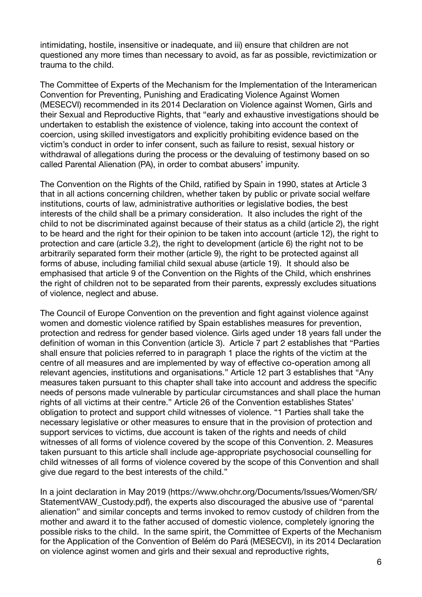intimidating, hostile, insensitive or inadequate, and iii) ensure that children are not questioned any more times than necessary to avoid, as far as possible, revictimization or trauma to the child.

The Committee of Experts of the Mechanism for the Implementation of the Interamerican Convention for Preventing, Punishing and Eradicating Violence Against Women (MESECVI) recommended in its 2014 Declaration on Violence against Women, Girls and their Sexual and Reproductive Rights, that "early and exhaustive investigations should be undertaken to establish the existence of violence, taking into account the context of coercion, using skilled investigators and explicitly prohibiting evidence based on the victim's conduct in order to infer consent, such as failure to resist, sexual history or withdrawal of allegations during the process or the devaluing of testimony based on so called Parental Alienation (PA), in order to combat abusers' impunity.

The Convention on the Rights of the Child, ratified by Spain in 1990, states at Article 3 that in all actions concerning children, whether taken by public or private social welfare institutions, courts of law, administrative authorities or legislative bodies, the best interests of the child shall be a primary consideration. It also includes the right of the child to not be discriminated against because of their status as a child (article 2), the right to be heard and the right for their opinion to be taken into account (article 12), the right to protection and care (article 3.2), the right to development (article 6) the right not to be arbitrarily separated form their mother (article 9), the right to be protected against all forms of abuse, including familial child sexual abuse (article 19). It should also be emphasised that article 9 of the Convention on the Rights of the Child, which enshrines the right of children not to be separated from their parents, expressly excludes situations of violence, neglect and abuse.

The Council of Europe Convention on the prevention and fight against violence against women and domestic violence ratified by Spain establishes measures for prevention, protection and redress for gender based violence. Girls aged under 18 years fall under the definition of woman in this Convention (article 3). Article 7 part 2 establishes that "Parties shall ensure that policies referred to in paragraph 1 place the rights of the victim at the centre of all measures and are implemented by way of effective co-operation among all relevant agencies, institutions and organisations." Article 12 part 3 establishes that "Any measures taken pursuant to this chapter shall take into account and address the specific needs of persons made vulnerable by particular circumstances and shall place the human rights of all victims at their centre." Article 26 of the Convention establishes States' obligation to protect and support child witnesses of violence. "1 Parties shall take the necessary legislative or other measures to ensure that in the provision of protection and support services to victims, due account is taken of the rights and needs of child witnesses of all forms of violence covered by the scope of this Convention. 2. Measures taken pursuant to this article shall include age-appropriate psychosocial counselling for child witnesses of all forms of violence covered by the scope of this Convention and shall give due regard to the best interests of the child."

In a joint declaration in May 2019 ([https://www.ohchr.org/Documents/Issues/Women/SR/](https://www.ohchr.org/Documents/Issues/Women/SR/Statement) [Statement](https://www.ohchr.org/Documents/Issues/Women/SR/Statement)VAW\_Custody.pdf), the experts also discouraged the abusive use of "parental alienation" and similar concepts and terms invoked to remov custody of children from the mother and award it to the father accused of domestic violence, completely ignoring the possible risks to the child. In the same spirit, the Committee of Experts of the Mechanism for the Application of the Convention of Belém do Pará (MESECVI), in its 2014 Declaration on violence aginst women and girls and their sexual and reproductive rights,